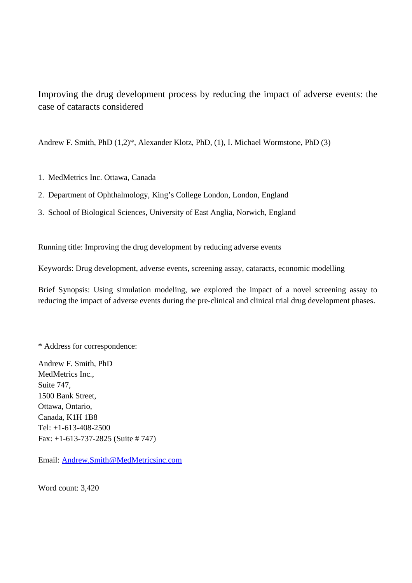Improving the drug development process by reducing the impact of adverse events: the case of cataracts considered

Andrew F. Smith, PhD (1,2)\*, Alexander Klotz, PhD, (1), I. Michael Wormstone, PhD (3)

- 1. MedMetrics Inc. Ottawa, Canada
- 2. Department of Ophthalmology, King's College London, London, England
- 3. School of Biological Sciences, University of East Anglia, Norwich, England

Running title: Improving the drug development by reducing adverse events

Keywords: Drug development, adverse events, screening assay, cataracts, economic modelling

Brief Synopsis: Using simulation modeling, we explored the impact of a novel screening assay to reducing the impact of adverse events during the pre-clinical and clinical trial drug development phases.

# \* Address for correspondence:

Andrew F. Smith, PhD MedMetrics Inc., Suite 747, 1500 Bank Street, Ottawa, Ontario, Canada, K1H 1B8 Tel: +1-613-408-2500 Fax: +1-613-737-2825 (Suite # 747)

Email: Andrew.Smith@MedMetricsinc.com

Word count: 3,420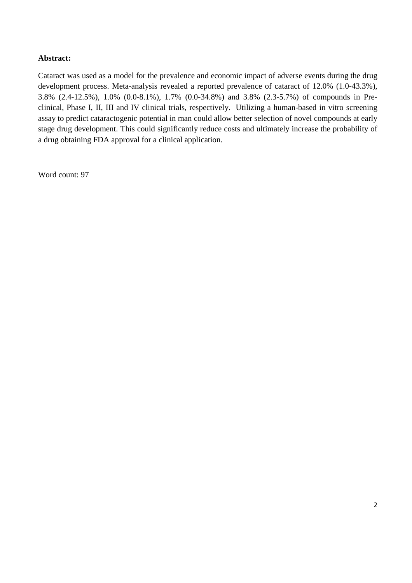# **Abstract:**

Cataract was used as a model for the prevalence and economic impact of adverse events during the drug development process. Meta-analysis revealed a reported prevalence of cataract of 12.0% (1.0-43.3%), 3.8% (2.4-12.5%), 1.0% (0.0-8.1%), 1.7% (0.0-34.8%) and 3.8% (2.3-5.7%) of compounds in Preclinical, Phase I, II, III and IV clinical trials, respectively. Utilizing a human-based in vitro screening assay to predict cataractogenic potential in man could allow better selection of novel compounds at early stage drug development. This could significantly reduce costs and ultimately increase the probability of a drug obtaining FDA approval for a clinical application.

Word count: 97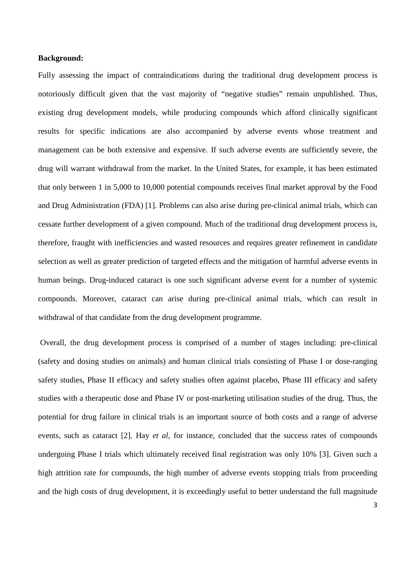#### **Background:**

Fully assessing the impact of contraindications during the traditional drug development process is notoriously difficult given that the vast majority of "negative studies" remain unpublished. Thus, existing drug development models, while producing compounds which afford clinically significant results for specific indications are also accompanied by adverse events whose treatment and management can be both extensive and expensive. If such adverse events are sufficiently severe, the drug will warrant withdrawal from the market. In the United States, for example, it has been estimated that only between 1 in 5,000 to 10,000 potential compounds receives final market approval by the Food and Drug Administration (FDA) [1]. Problems can also arise during pre-clinical animal trials, which can cessate further development of a given compound. Much of the traditional drug development process is, therefore, fraught with inefficiencies and wasted resources and requires greater refinement in candidate selection as well as greater prediction of targeted effects and the mitigation of harmful adverse events in human beings. Drug-induced cataract is one such significant adverse event for a number of systemic compounds. Moreover, cataract can arise during pre-clinical animal trials, which can result in withdrawal of that candidate from the drug development programme.

 Overall, the drug development process is comprised of a number of stages including: pre-clinical (safety and dosing studies on animals) and human clinical trials consisting of Phase I or dose-ranging safety studies, Phase II efficacy and safety studies often against placebo, Phase III efficacy and safety studies with a therapeutic dose and Phase IV or post-marketing utilisation studies of the drug. Thus, the potential for drug failure in clinical trials is an important source of both costs and a range of adverse events, such as cataract [2]. Hay *et al*, for instance, concluded that the success rates of compounds undergoing Phase I trials which ultimately received final registration was only 10% [3]. Given such a high attrition rate for compounds, the high number of adverse events stopping trials from proceeding and the high costs of drug development, it is exceedingly useful to better understand the full magnitude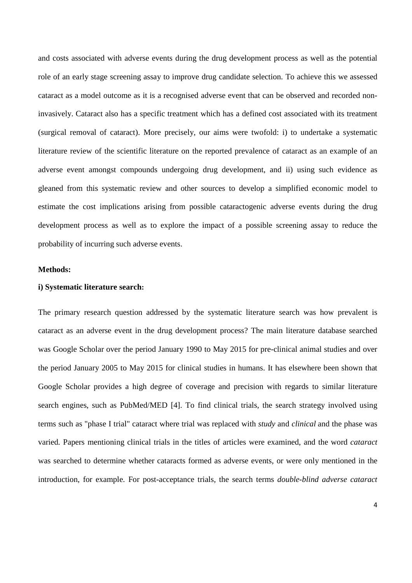and costs associated with adverse events during the drug development process as well as the potential role of an early stage screening assay to improve drug candidate selection. To achieve this we assessed cataract as a model outcome as it is a recognised adverse event that can be observed and recorded noninvasively. Cataract also has a specific treatment which has a defined cost associated with its treatment (surgical removal of cataract). More precisely, our aims were twofold: i) to undertake a systematic literature review of the scientific literature on the reported prevalence of cataract as an example of an adverse event amongst compounds undergoing drug development, and ii) using such evidence as gleaned from this systematic review and other sources to develop a simplified economic model to estimate the cost implications arising from possible cataractogenic adverse events during the drug development process as well as to explore the impact of a possible screening assay to reduce the probability of incurring such adverse events.

## **Methods:**

#### **i) Systematic literature search:**

The primary research question addressed by the systematic literature search was how prevalent is cataract as an adverse event in the drug development process? The main literature database searched was Google Scholar over the period January 1990 to May 2015 for pre-clinical animal studies and over the period January 2005 to May 2015 for clinical studies in humans. It has elsewhere been shown that Google Scholar provides a high degree of coverage and precision with regards to similar literature search engines, such as PubMed/MED [4]. To find clinical trials, the search strategy involved using terms such as "phase I trial" cataract where trial was replaced with *study* and *clinical* and the phase was varied*.* Papers mentioning clinical trials in the titles of articles were examined, and the word *cataract* was searched to determine whether cataracts formed as adverse events, or were only mentioned in the introduction, for example. For post-acceptance trials, the search terms *double-blind adverse cataract*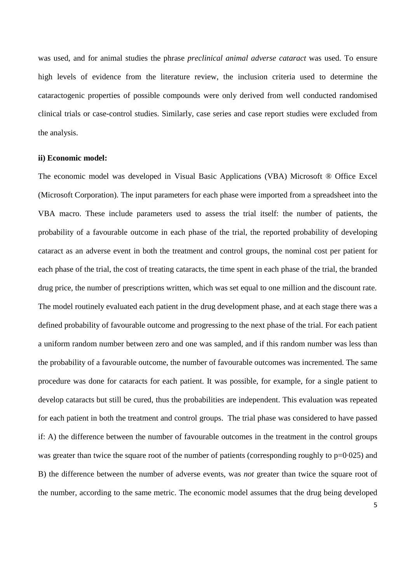was used, and for animal studies the phrase *preclinical animal adverse cataract* was used. To ensure high levels of evidence from the literature review, the inclusion criteria used to determine the cataractogenic properties of possible compounds were only derived from well conducted randomised clinical trials or case-control studies. Similarly, case series and case report studies were excluded from the analysis.

#### **ii) Economic model:**

The economic model was developed in Visual Basic Applications (VBA) Microsoft ® Office Excel (Microsoft Corporation). The input parameters for each phase were imported from a spreadsheet into the VBA macro. These include parameters used to assess the trial itself: the number of patients, the probability of a favourable outcome in each phase of the trial, the reported probability of developing cataract as an adverse event in both the treatment and control groups, the nominal cost per patient for each phase of the trial, the cost of treating cataracts, the time spent in each phase of the trial, the branded drug price, the number of prescriptions written, which was set equal to one million and the discount rate. The model routinely evaluated each patient in the drug development phase, and at each stage there was a defined probability of favourable outcome and progressing to the next phase of the trial. For each patient a uniform random number between zero and one was sampled, and if this random number was less than the probability of a favourable outcome, the number of favourable outcomes was incremented. The same procedure was done for cataracts for each patient. It was possible, for example, for a single patient to develop cataracts but still be cured, thus the probabilities are independent. This evaluation was repeated for each patient in both the treatment and control groups. The trial phase was considered to have passed if: A) the difference between the number of favourable outcomes in the treatment in the control groups was greater than twice the square root of the number of patients (corresponding roughly to  $p=0.025$ ) and B) the difference between the number of adverse events, was *not* greater than twice the square root of the number, according to the same metric. The economic model assumes that the drug being developed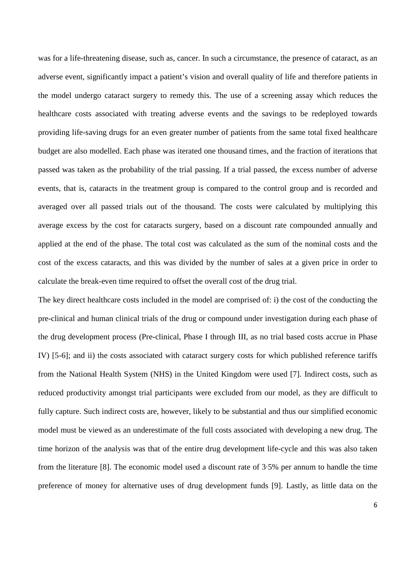was for a life-threatening disease, such as, cancer. In such a circumstance, the presence of cataract, as an adverse event, significantly impact a patient's vision and overall quality of life and therefore patients in the model undergo cataract surgery to remedy this. The use of a screening assay which reduces the healthcare costs associated with treating adverse events and the savings to be redeployed towards providing life-saving drugs for an even greater number of patients from the same total fixed healthcare budget are also modelled. Each phase was iterated one thousand times, and the fraction of iterations that passed was taken as the probability of the trial passing. If a trial passed, the excess number of adverse events, that is, cataracts in the treatment group is compared to the control group and is recorded and averaged over all passed trials out of the thousand. The costs were calculated by multiplying this average excess by the cost for cataracts surgery, based on a discount rate compounded annually and applied at the end of the phase. The total cost was calculated as the sum of the nominal costs and the cost of the excess cataracts, and this was divided by the number of sales at a given price in order to calculate the break-even time required to offset the overall cost of the drug trial.

The key direct healthcare costs included in the model are comprised of: i) the cost of the conducting the pre-clinical and human clinical trials of the drug or compound under investigation during each phase of the drug development process (Pre-clinical, Phase I through III, as no trial based costs accrue in Phase IV) [5-6]; and ii) the costs associated with cataract surgery costs for which published reference tariffs from the National Health System (NHS) in the United Kingdom were used [7]. Indirect costs, such as reduced productivity amongst trial participants were excluded from our model, as they are difficult to fully capture. Such indirect costs are, however, likely to be substantial and thus our simplified economic model must be viewed as an underestimate of the full costs associated with developing a new drug. The time horizon of the analysis was that of the entire drug development life-cycle and this was also taken from the literature [8]. The economic model used a discount rate of 3·5% per annum to handle the time preference of money for alternative uses of drug development funds [9]. Lastly, as little data on the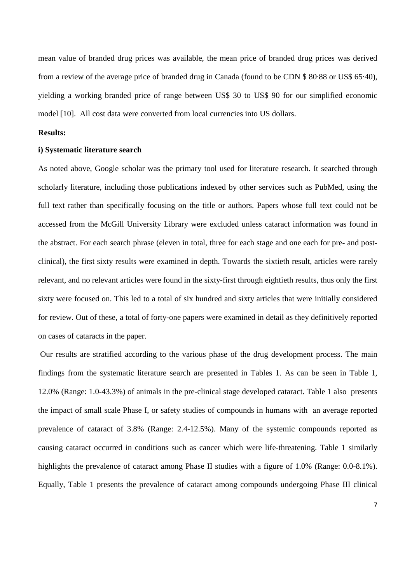mean value of branded drug prices was available, the mean price of branded drug prices was derived from a review of the average price of branded drug in Canada (found to be CDN \$ 80·88 or US\$ 65·40), yielding a working branded price of range between US\$ 30 to US\$ 90 for our simplified economic model [10]. All cost data were converted from local currencies into US dollars.

# **Results:**

#### **i) Systematic literature search**

As noted above, Google scholar was the primary tool used for literature research. It searched through scholarly literature, including those publications indexed by other services such as PubMed, using the full text rather than specifically focusing on the title or authors. Papers whose full text could not be accessed from the McGill University Library were excluded unless cataract information was found in the abstract. For each search phrase (eleven in total, three for each stage and one each for pre- and postclinical), the first sixty results were examined in depth. Towards the sixtieth result, articles were rarely relevant, and no relevant articles were found in the sixty-first through eightieth results, thus only the first sixty were focused on. This led to a total of six hundred and sixty articles that were initially considered for review. Out of these, a total of forty-one papers were examined in detail as they definitively reported on cases of cataracts in the paper.

 Our results are stratified according to the various phase of the drug development process. The main findings from the systematic literature search are presented in Tables 1. As can be seen in Table 1, 12.0% (Range: 1.0-43.3%) of animals in the pre-clinical stage developed cataract. Table 1 also presents the impact of small scale Phase I, or safety studies of compounds in humans with an average reported prevalence of cataract of 3.8% (Range: 2.4-12.5%). Many of the systemic compounds reported as causing cataract occurred in conditions such as cancer which were life-threatening. Table 1 similarly highlights the prevalence of cataract among Phase II studies with a figure of 1.0% (Range: 0.0-8.1%). Equally, Table 1 presents the prevalence of cataract among compounds undergoing Phase III clinical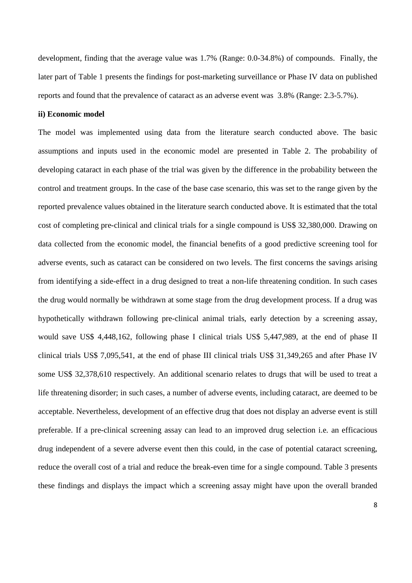development, finding that the average value was 1.7% (Range: 0.0-34.8%) of compounds. Finally, the later part of Table 1 presents the findings for post-marketing surveillance or Phase IV data on published reports and found that the prevalence of cataract as an adverse event was 3.8% (Range: 2.3-5.7%).

## **ii) Economic model**

The model was implemented using data from the literature search conducted above. The basic assumptions and inputs used in the economic model are presented in Table 2. The probability of developing cataract in each phase of the trial was given by the difference in the probability between the control and treatment groups. In the case of the base case scenario, this was set to the range given by the reported prevalence values obtained in the literature search conducted above. It is estimated that the total cost of completing pre-clinical and clinical trials for a single compound is US\$ 32,380,000. Drawing on data collected from the economic model, the financial benefits of a good predictive screening tool for adverse events, such as cataract can be considered on two levels. The first concerns the savings arising from identifying a side-effect in a drug designed to treat a non-life threatening condition. In such cases the drug would normally be withdrawn at some stage from the drug development process. If a drug was hypothetically withdrawn following pre-clinical animal trials, early detection by a screening assay, would save US\$ 4,448,162, following phase I clinical trials US\$ 5,447,989, at the end of phase II clinical trials US\$ 7,095,541, at the end of phase III clinical trials US\$ 31,349,265 and after Phase IV some US\$ 32,378,610 respectively. An additional scenario relates to drugs that will be used to treat a life threatening disorder; in such cases, a number of adverse events, including cataract, are deemed to be acceptable. Nevertheless, development of an effective drug that does not display an adverse event is still preferable. If a pre-clinical screening assay can lead to an improved drug selection i.e. an efficacious drug independent of a severe adverse event then this could, in the case of potential cataract screening, reduce the overall cost of a trial and reduce the break-even time for a single compound. Table 3 presents these findings and displays the impact which a screening assay might have upon the overall branded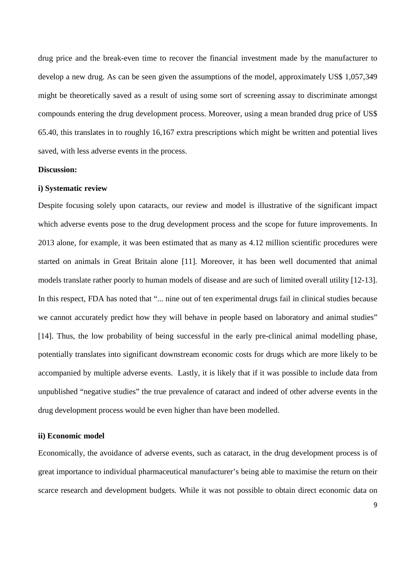drug price and the break-even time to recover the financial investment made by the manufacturer to develop a new drug. As can be seen given the assumptions of the model, approximately US\$ 1,057,349 might be theoretically saved as a result of using some sort of screening assay to discriminate amongst compounds entering the drug development process. Moreover, using a mean branded drug price of US\$ 65.40, this translates in to roughly 16,167 extra prescriptions which might be written and potential lives saved, with less adverse events in the process.

#### **Discussion:**

#### **i) Systematic review**

Despite focusing solely upon cataracts, our review and model is illustrative of the significant impact which adverse events pose to the drug development process and the scope for future improvements. In 2013 alone, for example, it was been estimated that as many as 4.12 million scientific procedures were started on animals in Great Britain alone [11]. Moreover, it has been well documented that animal models translate rather poorly to human models of disease and are such of limited overall utility [12-13]. In this respect, FDA has noted that "... nine out of ten experimental drugs fail in clinical studies because we cannot accurately predict how they will behave in people based on laboratory and animal studies" [14]. Thus, the low probability of being successful in the early pre-clinical animal modelling phase, potentially translates into significant downstream economic costs for drugs which are more likely to be accompanied by multiple adverse events. Lastly, it is likely that if it was possible to include data from unpublished "negative studies" the true prevalence of cataract and indeed of other adverse events in the drug development process would be even higher than have been modelled.

### **ii) Economic model**

Economically, the avoidance of adverse events, such as cataract, in the drug development process is of great importance to individual pharmaceutical manufacturer's being able to maximise the return on their scarce research and development budgets. While it was not possible to obtain direct economic data on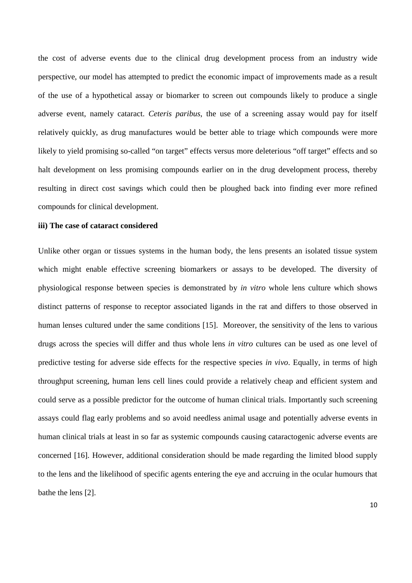the cost of adverse events due to the clinical drug development process from an industry wide perspective, our model has attempted to predict the economic impact of improvements made as a result of the use of a hypothetical assay or biomarker to screen out compounds likely to produce a single adverse event, namely cataract. *Ceteris paribus*, the use of a screening assay would pay for itself relatively quickly, as drug manufactures would be better able to triage which compounds were more likely to yield promising so-called "on target" effects versus more deleterious "off target" effects and so halt development on less promising compounds earlier on in the drug development process, thereby resulting in direct cost savings which could then be ploughed back into finding ever more refined compounds for clinical development.

#### **iii) The case of cataract considered**

Unlike other organ or tissues systems in the human body, the lens presents an isolated tissue system which might enable effective screening biomarkers or assays to be developed. The diversity of physiological response between species is demonstrated by *in vitro* whole lens culture which shows distinct patterns of response to receptor associated ligands in the rat and differs to those observed in human lenses cultured under the same conditions [15]. Moreover, the sensitivity of the lens to various drugs across the species will differ and thus whole lens *in vitro* cultures can be used as one level of predictive testing for adverse side effects for the respective species *in vivo*. Equally, in terms of high throughput screening, human lens cell lines could provide a relatively cheap and efficient system and could serve as a possible predictor for the outcome of human clinical trials. Importantly such screening assays could flag early problems and so avoid needless animal usage and potentially adverse events in human clinical trials at least in so far as systemic compounds causing cataractogenic adverse events are concerned [16]. However, additional consideration should be made regarding the limited blood supply to the lens and the likelihood of specific agents entering the eye and accruing in the ocular humours that bathe the lens [2].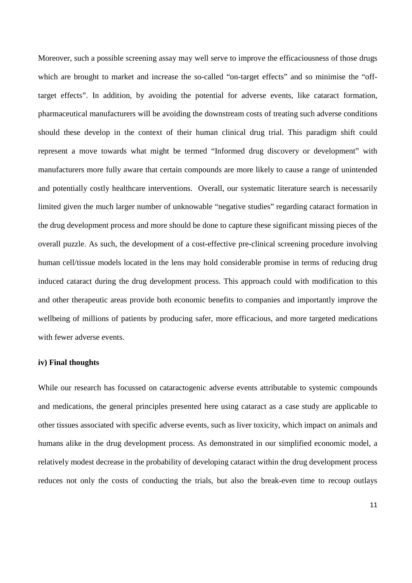Moreover, such a possible screening assay may well serve to improve the efficaciousness of those drugs which are brought to market and increase the so-called "on-target effects" and so minimise the "offtarget effects". In addition, by avoiding the potential for adverse events, like cataract formation, pharmaceutical manufacturers will be avoiding the downstream costs of treating such adverse conditions should these develop in the context of their human clinical drug trial. This paradigm shift could represent a move towards what might be termed "Informed drug discovery or development" with manufacturers more fully aware that certain compounds are more likely to cause a range of unintended and potentially costly healthcare interventions. Overall, our systematic literature search is necessarily limited given the much larger number of unknowable "negative studies" regarding cataract formation in the drug development process and more should be done to capture these significant missing pieces of the overall puzzle. As such, the development of a cost-effective pre-clinical screening procedure involving human cell/tissue models located in the lens may hold considerable promise in terms of reducing drug induced cataract during the drug development process. This approach could with modification to this and other therapeutic areas provide both economic benefits to companies and importantly improve the wellbeing of millions of patients by producing safer, more efficacious, and more targeted medications with fewer adverse events.

#### **iv) Final thoughts**

While our research has focussed on cataractogenic adverse events attributable to systemic compounds and medications, the general principles presented here using cataract as a case study are applicable to other tissues associated with specific adverse events, such as liver toxicity, which impact on animals and humans alike in the drug development process. As demonstrated in our simplified economic model, a relatively modest decrease in the probability of developing cataract within the drug development process reduces not only the costs of conducting the trials, but also the break-even time to recoup outlays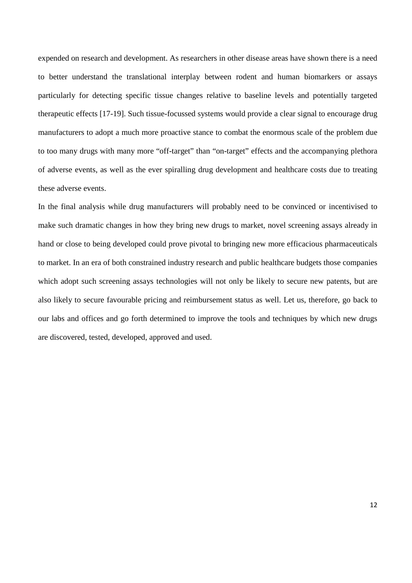expended on research and development. As researchers in other disease areas have shown there is a need to better understand the translational interplay between rodent and human biomarkers or assays particularly for detecting specific tissue changes relative to baseline levels and potentially targeted therapeutic effects [17-19]. Such tissue-focussed systems would provide a clear signal to encourage drug manufacturers to adopt a much more proactive stance to combat the enormous scale of the problem due to too many drugs with many more "off-target" than "on-target" effects and the accompanying plethora of adverse events, as well as the ever spiralling drug development and healthcare costs due to treating these adverse events.

In the final analysis while drug manufacturers will probably need to be convinced or incentivised to make such dramatic changes in how they bring new drugs to market, novel screening assays already in hand or close to being developed could prove pivotal to bringing new more efficacious pharmaceuticals to market. In an era of both constrained industry research and public healthcare budgets those companies which adopt such screening assays technologies will not only be likely to secure new patents, but are also likely to secure favourable pricing and reimbursement status as well. Let us, therefore, go back to our labs and offices and go forth determined to improve the tools and techniques by which new drugs are discovered, tested, developed, approved and used.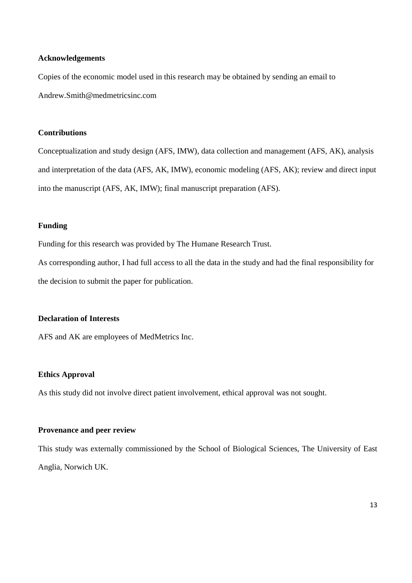#### **Acknowledgements**

Copies of the economic model used in this research may be obtained by sending an email to Andrew.Smith@medmetricsinc.com

# **Contributions**

Conceptualization and study design (AFS, IMW), data collection and management (AFS, AK), analysis and interpretation of the data (AFS, AK, IMW), economic modeling (AFS, AK); review and direct input into the manuscript (AFS, AK, IMW); final manuscript preparation (AFS).

# **Funding**

Funding for this research was provided by The Humane Research Trust.

As corresponding author, I had full access to all the data in the study and had the final responsibility for the decision to submit the paper for publication.

# **Declaration of Interests**

AFS and AK are employees of MedMetrics Inc.

## **Ethics Approval**

As this study did not involve direct patient involvement, ethical approval was not sought.

# **Provenance and peer review**

This study was externally commissioned by the School of Biological Sciences, The University of East Anglia, Norwich UK.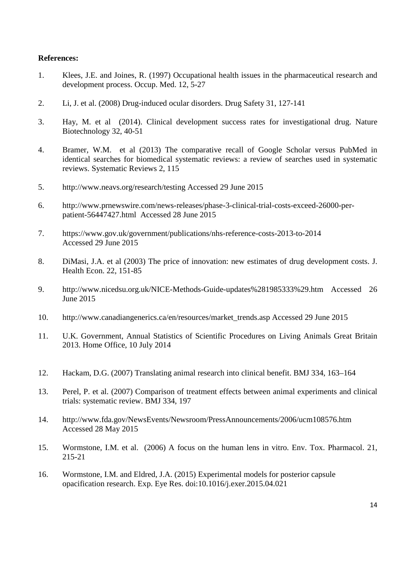# **References:**

- 1. Klees, J.E. and Joines, R. (1997) Occupational health issues in the pharmaceutical research and development process. Occup. Med. 12, 5-27
- 2. Li, J. et al. (2008) Drug-induced ocular disorders. Drug Safety 31, 127-141
- 3. Hay, M. et al (2014). Clinical development success rates for investigational drug. Nature Biotechnology 32, 40-51
- 4. Bramer, W.M. et al (2013) The comparative recall of Google Scholar versus PubMed in identical searches for biomedical systematic reviews: a review of searches used in systematic reviews. Systematic Reviews 2, 115
- 5. http://www.neavs.org/research/testing Accessed 29 June 2015
- 6. http://www.prnewswire.com/news-releases/phase-3-clinical-trial-costs-exceed-26000-perpatient-56447427.html Accessed 28 June 2015
- 7. https://www.gov.uk/government/publications/nhs-reference-costs-2013-to-2014 Accessed 29 June 2015
- 8. DiMasi, J.A. et al (2003) The price of innovation: new estimates of drug development costs. J. Health Econ. 22, 151-85
- 9. http://www.nicedsu.org.uk/NICE-Methods-Guide-updates%281985333%29.htm Accessed 26 June 2015
- 10. http://www.canadiangenerics.ca/en/resources/market\_trends.asp Accessed 29 June 2015
- 11. U.K. Government, Annual Statistics of Scientific Procedures on Living Animals Great Britain 2013. Home Office, 10 July 2014
- 12. Hackam, D.G. (2007) Translating animal research into clinical benefit. BMJ 334, 163–164
- 13. Perel, P. et al. (2007) Comparison of treatment effects between animal experiments and clinical trials: systematic review. BMJ 334, 197
- 14. http://www.fda.gov/NewsEvents/Newsroom/PressAnnouncements/2006/ucm108576.htm Accessed 28 May 2015
- 15. Wormstone, I.M. et al. (2006) A focus on the human lens in vitro. Env. Tox. Pharmacol. 21, 215-21
- 16. Wormstone, I.M. and Eldred, J.A. (2015) Experimental models for posterior capsule opacification research. Exp. Eye Res. doi:10.1016/j.exer.2015.04.021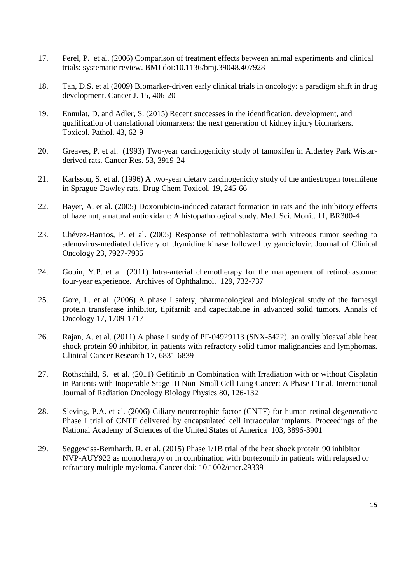- 17. Perel, P. et al. (2006) Comparison of treatment effects between animal experiments and clinical trials: systematic review. BMJ doi:10.1136/bmj.39048.407928
- 18. Tan, D.S. et al (2009) Biomarker-driven early clinical trials in oncology: a paradigm shift in drug development. Cancer J. 15, 406-20
- 19. Ennulat, D. and Adler, S. (2015) Recent successes in the identification, development, and qualification of translational biomarkers: the next generation of kidney injury biomarkers. Toxicol. Pathol. 43, 62-9
- 20. Greaves, P. et al. (1993) Two-year carcinogenicity study of tamoxifen in Alderley Park Wistarderived rats. Cancer Res. 53, 3919-24
- 21. Karlsson, S. et al. (1996) A two-year dietary carcinogenicity study of the antiestrogen toremifene in Sprague-Dawley rats. Drug Chem Toxicol. 19, 245-66
- 22. Bayer, A. et al. (2005) Doxorubicin-induced cataract formation in rats and the inhibitory effects of hazelnut, a natural antioxidant: A histopathological study. Med. Sci. Monit. 11, BR300-4
- 23. Chévez-Barrios, P. et al. (2005) Response of retinoblastoma with vitreous tumor seeding to adenovirus-mediated delivery of thymidine kinase followed by ganciclovir. Journal of Clinical Oncology 23, 7927-7935
- 24. Gobin, Y.P. et al. (2011) Intra-arterial chemotherapy for the management of retinoblastoma: four-year experience. Archives of Ophthalmol. 129, 732-737
- 25. Gore, L. et al. (2006) A phase I safety, pharmacological and biological study of the farnesyl protein transferase inhibitor, tipifarnib and capecitabine in advanced solid tumors. Annals of Oncology 17, 1709-1717
- 26. Rajan, A. et al. (2011) A phase I study of PF-04929113 (SNX-5422), an orally bioavailable heat shock protein 90 inhibitor, in patients with refractory solid tumor malignancies and lymphomas. Clinical Cancer Research 17, 6831-6839
- 27. Rothschild, S. et al. (2011) Gefitinib in Combination with Irradiation with or without Cisplatin in Patients with Inoperable Stage III Non–Small Cell Lung Cancer: A Phase I Trial. International Journal of Radiation Oncology Biology Physics 80, 126-132
- 28. Sieving, P.A. et al. (2006) Ciliary neurotrophic factor (CNTF) for human retinal degeneration: Phase I trial of CNTF delivered by encapsulated cell intraocular implants. Proceedings of the National Academy of Sciences of the United States of America 103, 3896-3901
- 29. Seggewiss-Bernhardt, R. et al. (2015) Phase 1/1B trial of the heat shock protein 90 inhibitor NVP-AUY922 as monotherapy or in combination with bortezomib in patients with relapsed or refractory multiple myeloma. Cancer doi: 10.1002/cncr.29339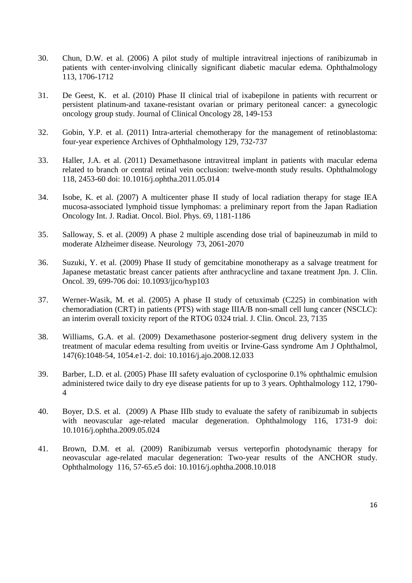- 30. Chun, D.W. et al. (2006) A pilot study of multiple intravitreal injections of ranibizumab in patients with center-involving clinically significant diabetic macular edema. Ophthalmology 113, 1706-1712
- 31. De Geest, K. et al. (2010) Phase II clinical trial of ixabepilone in patients with recurrent or persistent platinum-and taxane-resistant ovarian or primary peritoneal cancer: a gynecologic oncology group study. Journal of Clinical Oncology 28, 149-153
- 32. Gobin, Y.P. et al. (2011) Intra-arterial chemotherapy for the management of retinoblastoma: four-year experience Archives of Ophthalmology 129, 732-737
- 33. Haller, J.A. et al. (2011) Dexamethasone intravitreal implant in patients with macular edema related to branch or central retinal vein occlusion: twelve-month study results. Ophthalmology 118, 2453-60 doi: 10.1016/j.ophtha.2011.05.014
- 34. Isobe, K. et al. (2007) A multicenter phase II study of local radiation therapy for stage IEA mucosa-associated lymphoid tissue lymphomas: a preliminary report from the Japan Radiation Oncology Int. J. Radiat. Oncol. Biol. Phys. 69, 1181-1186
- 35. Salloway, S. et al. (2009) A phase 2 multiple ascending dose trial of bapineuzumab in mild to moderate Alzheimer disease. Neurology 73, 2061-2070
- 36. Suzuki, Y. et al. (2009) Phase II study of gemcitabine monotherapy as a salvage treatment for Japanese metastatic breast cancer patients after anthracycline and taxane treatment Jpn. J. Clin. Oncol. 39, 699-706 doi: 10.1093/jjco/hyp103
- 37. Werner-Wasik, M. et al. (2005) A phase II study of cetuximab (C225) in combination with chemoradiation (CRT) in patients (PTS) with stage IIIA/B non-small cell lung cancer (NSCLC): an interim overall toxicity report of the RTOG 0324 trial. J. Clin. Oncol. 23, 7135
- 38. Williams, G.A. et al. (2009) Dexamethasone posterior-segment drug delivery system in the treatment of macular edema resulting from uveitis or Irvine-Gass syndrome Am J Ophthalmol, 147(6):1048-54, 1054.e1-2. doi: 10.1016/j.ajo.2008.12.033
- 39. Barber, L.D. et al. (2005) Phase III safety evaluation of cyclosporine 0.1% ophthalmic emulsion administered twice daily to dry eye disease patients for up to 3 years. Ophthalmology 112, 1790- 4
- 40. Boyer, D.S. et al. (2009) A Phase IIIb study to evaluate the safety of ranibizumab in subjects with neovascular age-related macular degeneration. Ophthalmology 116, 1731-9 doi: 10.1016/j.ophtha.2009.05.024
- 41. Brown, D.M. et al. (2009) Ranibizumab versus verteporfin photodynamic therapy for neovascular age-related macular degeneration: Two-year results of the ANCHOR study. Ophthalmology 116, 57-65.e5 doi: 10.1016/j.ophtha.2008.10.018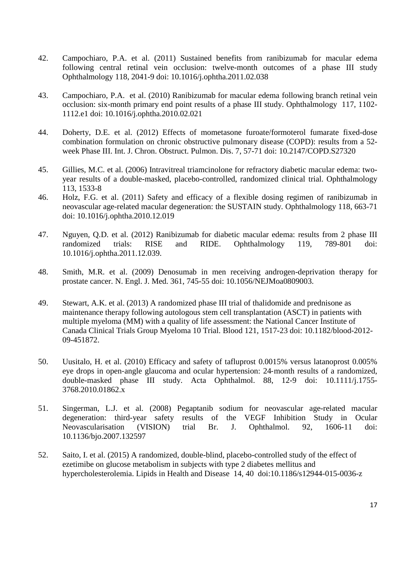- 42. Campochiaro, P.A. et al. (2011) Sustained benefits from ranibizumab for macular edema following central retinal vein occlusion: twelve-month outcomes of a phase III study Ophthalmology 118, 2041-9 doi: 10.1016/j.ophtha.2011.02.038
- 43. Campochiaro, P.A. et al. (2010) Ranibizumab for macular edema following branch retinal vein occlusion: six-month primary end point results of a phase III study. Ophthalmology 117, 1102- 1112.e1 doi: 10.1016/j.ophtha.2010.02.021
- 44. Doherty, D.E. et al. (2012) Effects of mometasone furoate/formoterol fumarate fixed-dose combination formulation on chronic obstructive pulmonary disease (COPD): results from a 52 week Phase III. Int. J. Chron. Obstruct. Pulmon. Dis. 7, 57-71 doi: 10.2147/COPD.S27320
- 45. Gillies, M.C. et al. (2006) Intravitreal triamcinolone for refractory diabetic macular edema: twoyear results of a double-masked, placebo-controlled, randomized clinical trial. Ophthalmology 113, 1533-8
- 46. Holz, F.G. et al. (2011) Safety and efficacy of a flexible dosing regimen of ranibizumab in neovascular age-related macular degeneration: the SUSTAIN study. Ophthalmology 118, 663-71 doi: 10.1016/j.ophtha.2010.12.019
- 47. Nguyen, Q.D. et al. (2012) Ranibizumab for diabetic macular edema: results from 2 phase III randomized trials: RISE and RIDE. Ophthalmology 119, 789-801 doi: 10.1016/j.ophtha.2011.12.039.
- 48. Smith, M.R. et al. (2009) Denosumab in men receiving androgen-deprivation therapy for prostate cancer. N. Engl. J. Med. 361, 745-55 doi: 10.1056/NEJMoa0809003.
- 49. Stewart, A.K. et al. (2013) A randomized phase III trial of thalidomide and prednisone as maintenance therapy following autologous stem cell transplantation (ASCT) in patients with multiple myeloma (MM) with a quality of life assessment: the National Cancer Institute of Canada Clinical Trials Group Myeloma 10 Trial. Blood 121, 1517-23 doi: 10.1182/blood-2012- 09-451872.
- 50. Uusitalo, H. et al. (2010) Efficacy and safety of tafluprost 0.0015% versus latanoprost 0.005% eye drops in open‐angle glaucoma and ocular hypertension: 24‐month results of a randomized, double-masked phase III study. Acta Ophthalmol. 88, 12-9 doi: 10.1111/j.1755- 3768.2010.01862.x
- 51. Singerman, L.J. et al. (2008) Pegaptanib sodium for neovascular age-related macular degeneration: third-year safety results of the VEGF Inhibition Study in Ocular Neovascularisation (VISION) trial Br. J. Ophthalmol. 92, 1606-11 doi: 10.1136/bjo.2007.132597
- 52. Saito, I. et al. (2015) A randomized, double-blind, placebo-controlled study of the effect of ezetimibe on glucose metabolism in subjects with type 2 diabetes mellitus and hypercholesterolemia. Lipids in Health and Disease 14, 40 doi:10.1186/s12944-015-0036-z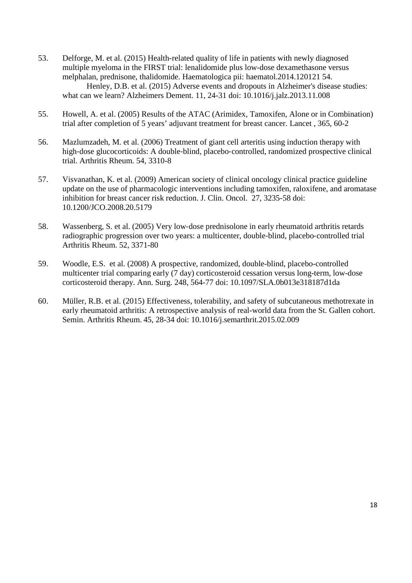53. Delforge, M. et al. (2015) Health-related quality of life in patients with newly diagnosed multiple myeloma in the FIRST trial: lenalidomide plus low-dose dexamethasone versus melphalan, prednisone, thalidomide. Haematologica pii: haematol.2014.120121 54. Henley, D.B. et al. (2015) Adverse events and dropouts in Alzheimer's disease studies:

what can we learn? Alzheimers Dement. 11, 24-31 doi: 10.1016/j.jalz.2013.11.008

- 55. Howell, A. et al. (2005) Results of the ATAC (Arimidex, Tamoxifen, Alone or in Combination) trial after completion of 5 years' adjuvant treatment for breast cancer. Lancet , 365, 60-2
- 56. Mazlumzadeh, M. et al. (2006) Treatment of giant cell arteritis using induction therapy with high-dose glucocorticoids: A double-blind, placebo-controlled, randomized prospective clinical trial. Arthritis Rheum. 54, 3310-8
- 57. Visvanathan, K. et al. (2009) American society of clinical oncology clinical practice guideline update on the use of pharmacologic interventions including tamoxifen, raloxifene, and aromatase inhibition for breast cancer risk reduction. J. Clin. Oncol. 27, 3235-58 doi: 10.1200/JCO.2008.20.5179
- 58. Wassenberg, S. et al. (2005) Very low‐dose prednisolone in early rheumatoid arthritis retards radiographic progression over two years: a multicenter, double‐blind, placebo‐controlled trial Arthritis Rheum. 52, 3371-80
- 59. Woodle, E.S. et al. (2008) A prospective, randomized, double-blind, placebo-controlled multicenter trial comparing early (7 day) corticosteroid cessation versus long-term, low-dose corticosteroid therapy. Ann. Surg. 248, 564-77 doi: 10.1097/SLA.0b013e318187d1da
- 60. Müller, R.B. et al. (2015) Effectiveness, tolerability, and safety of subcutaneous methotrexate in early rheumatoid arthritis: A retrospective analysis of real-world data from the St. Gallen cohort. Semin. Arthritis Rheum. 45, 28-34 doi: 10.1016/j.semarthrit.2015.02.009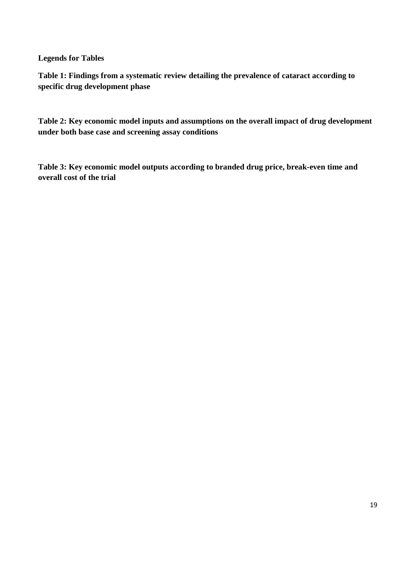**Legends for Tables** 

**Table 1: Findings from a systematic review detailing the prevalence of cataract according to specific drug development phase** 

**Table 2: Key economic model inputs and assumptions on the overall impact of drug development under both base case and screening assay conditions** 

**Table 3: Key economic model outputs according to branded drug price, break-even time and overall cost of the trial**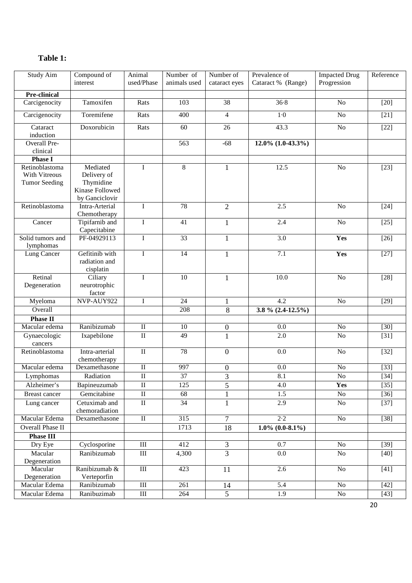| <b>Study Aim</b>                 | Compound of<br>interest | Animal<br>used/Phase    | Number of<br>animals used | Number of<br>cataract eyes | Prevalence of<br>Cataract % (Range) | <b>Impacted Drug</b><br>Progression | Reference         |
|----------------------------------|-------------------------|-------------------------|---------------------------|----------------------------|-------------------------------------|-------------------------------------|-------------------|
| <b>Pre-clinical</b>              |                         |                         |                           |                            |                                     |                                     |                   |
| Carcigenocity                    | Tamoxifen               | Rats                    | 103                       | 38                         | 36.8                                | No                                  | $[20]$            |
| Carcigenocity                    | Toremifene              | Rats                    | 400                       | $\overline{\mathcal{A}}$   | $1-0$                               | No                                  | $[21]$            |
| Cataract                         | Doxorubicin             | Rats                    | 60                        | 26                         | 43.3                                | $\rm No$                            | $[22]$            |
| induction                        |                         |                         |                           |                            |                                     |                                     |                   |
| <b>Overall Pre-</b>              |                         |                         | 563                       | $-68$                      | $12.0\%$ (1.0-43.3%)                |                                     |                   |
| clinical                         |                         |                         |                           |                            |                                     |                                     |                   |
| <b>Phase I</b><br>Retinoblastoma | Mediated                | $\mathbf I$             | $8\,$                     |                            | 12.5                                | No                                  |                   |
| With Vitreous                    | Delivery of             |                         |                           | 1                          |                                     |                                     | $[23]$            |
| <b>Tumor Seeding</b>             | Thymidine               |                         |                           |                            |                                     |                                     |                   |
|                                  | Kinase Followed         |                         |                           |                            |                                     |                                     |                   |
|                                  | by Ganciclovir          |                         |                           |                            |                                     |                                     |                   |
| Retinoblastoma                   | Intra-Arterial          | $\mathbf I$             | $\overline{78}$           | $\overline{2}$             | 2.5                                 | N <sub>o</sub>                      | $[24]$            |
|                                  | Chemotherapy            |                         |                           |                            |                                     |                                     |                   |
| Cancer                           | Tipifarnib and          | I                       | 41                        | 1                          | 2.4                                 | N <sub>o</sub>                      | $[25]$            |
|                                  | Capecitabine            |                         |                           |                            |                                     |                                     |                   |
| Solid tumors and                 | PF-04929113             | $\mathbf I$             | 33                        | $\mathbf{1}$               | 3.0                                 | Yes                                 | $[26]$            |
| lymphomas                        |                         |                         |                           |                            |                                     |                                     |                   |
| Lung Cancer                      | Gefitinib with          | $\mathbf{I}$            | 14                        | 1                          | $\overline{7.1}$                    | Yes                                 | $[27]$            |
|                                  | radiation and           |                         |                           |                            |                                     |                                     |                   |
|                                  | cisplatin               |                         |                           |                            |                                     |                                     |                   |
| Retinal                          | Ciliary                 | $\mathbf I$             | $\overline{10}$           | $\mathbf{1}$               | 10.0                                | N <sub>o</sub>                      | $[28]$            |
| Degeneration                     | neurotrophic            |                         |                           |                            |                                     |                                     |                   |
|                                  | factor                  |                         |                           |                            |                                     |                                     |                   |
| Myeloma                          | NVP-AUY922              | $\bf I$                 | 24                        | 1                          | 4.2                                 | $\rm No$                            | $[29]$            |
| Overall                          |                         |                         | 208                       | 8                          | 3.8 % $(2.4-12.5\%)$                |                                     |                   |
| <b>Phase II</b>                  |                         |                         |                           |                            |                                     |                                     |                   |
| Macular edema                    | Ranibizumab             | $\rm II$                | 10                        | $\boldsymbol{0}$           | 0.0                                 | $\rm No$                            | $[30]$            |
| Gynaecologic                     | Ixapebilone             | $\rm II$                | 49                        | $\mathbf{1}$               | 2.0                                 | N <sub>o</sub>                      | $[31]$            |
| cancers                          |                         |                         |                           |                            |                                     |                                     |                   |
| Retinoblastoma                   | Intra-arterial          | $\rm II$                | 78                        | $\mathbf{0}$               | 0.0                                 | N <sub>o</sub>                      | $[32]$            |
|                                  | chemotherapy            |                         |                           |                            |                                     |                                     |                   |
| Macular edema                    | Dexamethasone           | $\rm II$                | 997                       | $\boldsymbol{0}$           | 0.0                                 | No                                  | $[33]$            |
| Lymphomas                        | Radiation               | $\rm II$                | 37                        | 3                          | 8.1                                 | $\rm No$                            | $[34]$            |
| Alzheimer's                      | Bapineuzumab            | $\rm II$                | 125                       | 5                          | 4.0                                 | Yes                                 | $[35]$            |
| <b>Breast cancer</b>             | Gemcitabine             | $\overline{\rm II}$     | 68                        |                            | 1.5                                 | No                                  | $[36]$            |
| Lung cancer                      | Cetuximab and           | $\overline{\mathbf{I}}$ | $\overline{34}$           |                            | 2.9                                 | $\rm No$                            | $[37]$            |
|                                  | chemoradiation          |                         |                           |                            |                                     |                                     |                   |
| Macular Edema                    | Dexamethasone           | $\overline{\mathbf{u}}$ | $\overline{315}$          | $\overline{7}$             | $\overline{2\cdot 2}$               | $\rm No$                            | $\overline{[38]}$ |
| Overall Phase II                 |                         |                         |                           |                            | $1.0\%$ (0.0-8.1%)                  |                                     |                   |
|                                  |                         |                         | 1713                      | 18                         |                                     |                                     |                   |
| <b>Phase III</b>                 |                         |                         |                           |                            |                                     |                                     |                   |
| Dry Eye                          | Cyclosporine            | $\rm III$               | 412                       | 3                          | $\overline{0.7}$                    | $\rm No$                            | $[39]$            |
| Macular                          | Ranibizumab             | $\rm III$               | 4,300                     | $\overline{3}$             | 0.0                                 | $\rm No$                            | $[40]$            |
| Degeneration                     |                         |                         |                           |                            |                                     |                                     |                   |
| Macular                          | Ranibizumab &           | $\overline{III}$        | 423                       | 11                         | 2.6                                 | $\rm No$                            | $[41]$            |
| Degeneration                     | Verteporfin             |                         |                           |                            |                                     |                                     |                   |
| Macular Edema                    | Ranibizumab             | $\rm III$               | 261                       | 14                         | 5.4                                 | No                                  | $[42]$            |
| Macular Edema                    | Ranibuzimab             | $\overline{\rm III}$    | 264                       | $\overline{5}$             | $\overline{1.9}$                    | $\rm No$                            | $[43]$            |

# **Table 1:**

20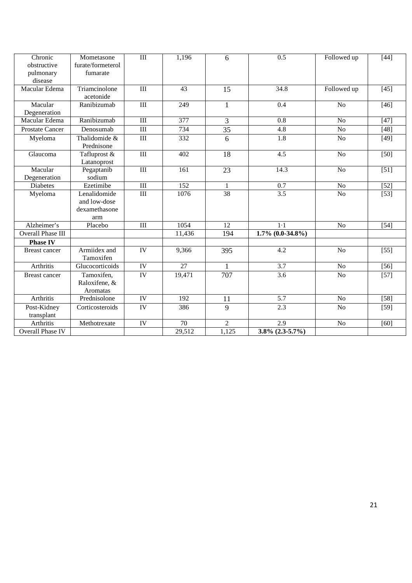| Chronic<br>obstructive<br>pulmonary<br>disease | Mometasone<br>furate/formeterol<br>fumarate          | III                              | 1,196  | 6               | $\overline{0.5}$      | Followed up     | $[44]$            |
|------------------------------------------------|------------------------------------------------------|----------------------------------|--------|-----------------|-----------------------|-----------------|-------------------|
| Macular Edema                                  | Triamcinolone<br>acetonide                           | $\mathop{\mathrm{III}}\nolimits$ | 43     | 15              | 34.8                  | Followed up     | $[45]$            |
| Macular<br>Degeneration                        | Ranibizumab                                          | $\mathop{\rm III}\nolimits$      | 249    | $\mathbf{1}$    | 0.4                   | N <sub>o</sub>  | $[46]$            |
| Macular Edema                                  | Ranibizumab                                          | $\rm III$                        | 377    | 3               | 0.8                   | N <sub>o</sub>  | $[47]$            |
| <b>Prostate Cancer</b>                         | Denosumab                                            | $\overline{III}$                 | 734    | $\overline{35}$ | $\overline{4.8}$      | No              | $\overline{[48]}$ |
| Myeloma                                        | Thalidomide &<br>Prednisone                          | $\overline{III}$                 | 332    | 6               | $\overline{1.8}$      | N <sub>o</sub>  | $[49]$            |
| Glaucoma                                       | Tafluprost &<br>Latanoprost                          | $\overline{III}$                 | 402    | $\overline{18}$ | $\overline{4.5}$      | $\overline{No}$ | $\overline{[50]}$ |
| Macular<br>Degeneration                        | Pegaptanib<br>sodium                                 | $\overline{III}$                 | 161    | 23              | 14.3                  | N <sub>o</sub>  | $[51]$            |
| <b>Diabetes</b>                                | Ezetimibe                                            | III                              | 152    | 1               | 0.7                   | No              | $[52]$            |
| Myeloma                                        | Lenalidomide<br>and low-dose<br>dexamethasone<br>arm | $\overline{III}$                 | 1076   | 38              | 3.5                   | N <sub>o</sub>  | $\overline{[53]}$ |
| Alzheimer's                                    | Placebo                                              | $\overline{III}$                 | 1054   | $\overline{12}$ | $1-1$                 | N <sub>o</sub>  | $[54]$            |
| <b>Overall Phase III</b>                       |                                                      |                                  | 11,436 | 194             | $1.7\% (0.0-34.8\%)$  |                 |                   |
| <b>Phase IV</b>                                |                                                      |                                  |        |                 |                       |                 |                   |
| <b>Breast cancer</b>                           | Armiidex and<br>Tamoxifen                            | $\overline{\text{IV}}$           | 9,366  | 395             | 4.2                   | N <sub>o</sub>  | $[55]$            |
| Arthritis                                      | Glucocorticoids                                      | IV                               | 27     | $\mathbf{1}$    | 3.7                   | No              | $[56]$            |
| <b>Breast cancer</b>                           | Tamoxifen,<br>Raloxifene, &<br>Aromatas              | $\overline{IV}$                  | 19,471 | 707             | $\overline{3.6}$      | N <sub>o</sub>  | $[57]$            |
| Arthritis                                      | Prednisolone                                         | $\overline{IV}$                  | 192    | 11              | $\overline{5.7}$      | N <sub>o</sub>  | $[58]$            |
| Post-Kidney<br>transplant                      | Corticosteroids                                      | IV                               | 386    | 9               | 2.3                   | N <sub>o</sub>  | $[59]$            |
| Arthritis                                      | Methotrexate                                         | IV                               | 70     | $\overline{2}$  | 2.9                   | No              | [60]              |
| Overall Phase IV                               |                                                      |                                  | 29,512 | 1,125           | $3.8\%$ $(2.3-5.7\%)$ |                 |                   |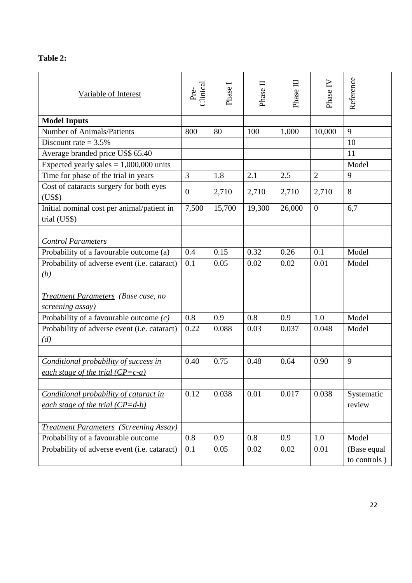| 'able |  |
|-------|--|
|-------|--|

| Variable of Interest                                                         | Clinical<br>Pre- | Phase  | ᆷ<br>Phase | Phase III | Phase IV       | Reference                   |
|------------------------------------------------------------------------------|------------------|--------|------------|-----------|----------------|-----------------------------|
| <b>Model Inputs</b>                                                          |                  |        |            |           |                |                             |
| <b>Number of Animals/Patients</b>                                            | 800              | 80     | 100        | 1,000     | 10,000         | 9                           |
| Discount rate $= 3.5\%$                                                      |                  |        |            |           |                | 10                          |
| Average branded price US\$ 65.40                                             |                  |        |            |           |                | 11                          |
| Expected yearly sales $= 1,000,000$ units                                    |                  |        |            |           |                | Model                       |
| Time for phase of the trial in years                                         | $\overline{3}$   | 1.8    | 2.1        | 2.5       | $\overline{2}$ | 9                           |
| Cost of cataracts surgery for both eyes<br>(US\$)                            | $\overline{0}$   | 2,710  | 2,710      | 2,710     | 2,710          | 8                           |
| Initial nominal cost per animal/patient in<br>trial (US\$)                   | 7,500            | 15,700 | 19,300     | 26,000    | $\mathbf{0}$   | 6,7                         |
|                                                                              |                  |        |            |           |                |                             |
| <b>Control Parameters</b>                                                    |                  |        |            |           |                |                             |
| Probability of a favourable outcome (a)                                      | 0.4              | 0.15   | 0.32       | 0.26      | 0.1            | Model                       |
| Probability of adverse event (i.e. cataract)<br>(b)                          | 0.1              | 0.05   | 0.02       | 0.02      | 0.01           | Model                       |
|                                                                              |                  |        |            |           |                |                             |
| Treatment Parameters (Base case, no<br>screening assay)                      |                  |        |            |           |                |                             |
| Probability of a favourable outcome $(c)$                                    | 0.8              | 0.9    | 0.8        | 0.9       | 1.0            | Model                       |
| Probability of adverse event (i.e. cataract)<br>(d)                          | 0.22             | 0.088  | 0.03       | 0.037     | 0.048          | Model                       |
|                                                                              |                  |        |            |           |                |                             |
| Conditional probability of success in<br>each stage of the trial $(CP=c-a)$  | 0.40             | 0.75   | 0.48       | 0.64      | 0.90           | 9                           |
|                                                                              |                  |        |            |           |                |                             |
| Conditional probability of cataract in<br>each stage of the trial $(CP=d-b)$ | 0.12             | 0.038  | 0.01       | 0.017     | 0.038          | Systematic<br>review        |
|                                                                              |                  |        |            |           |                |                             |
| <b>Treatment Parameters</b> (Screening Assay)                                |                  |        |            |           |                |                             |
| Probability of a favourable outcome                                          | 0.8              | 0.9    | 0.8        | 0.9       | 1.0            | Model                       |
| Probability of adverse event (i.e. cataract)                                 | 0.1              | 0.05   | 0.02       | 0.02      | 0.01           | (Base equal<br>to controls) |